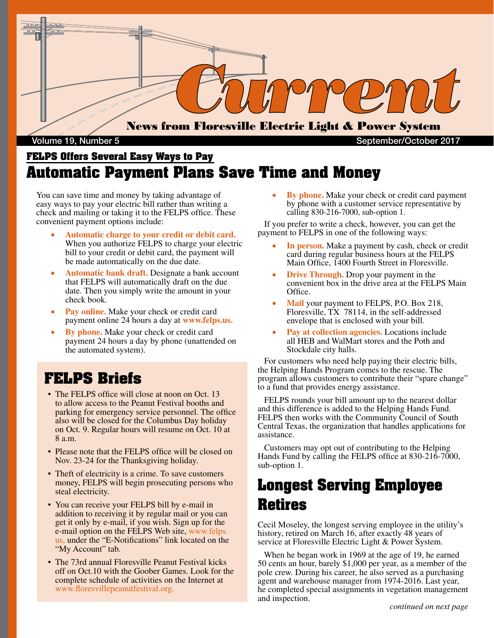

#### Volume 19, Number 5 September/October 2017

#### **FELPS Offers Several Easy Ways to Pay Automatic Payment Plans Save Time and Money**

You can save time and money by taking advantage of easy ways to pay your electric bill rather than writing a check and mailing or taking it to the FELPS office. These convenient payment options include:

- Automatic charge to your credit or debit card. When you authorize FELPS to charge your electric bill to your credit or debit card, the payment will be made automatically on the due date.
- **Automatic bank draft.** Designate a bank account that FELPS will automatically draft on the due date. Then you simply write the amount in your check book.
- Pay online. Make your check or credit card payment online 24 hours a day at **www.felps.us.**
- **By phone.** Make your check or credit card payment 24 hours a day by phone (unattended on the automated system).

#### **FELPS Briefs**

- The FELPS office will close at noon on Oct. 13 to allow access to the Peanut Festival booths and parking for emergency service personnel. The office also will be closed for the Columbus Day holiday on Oct. 9. Regular hours will resume on Oct. 10 at 8 a.m.
- Please note that the FELPS office will be closed on Nov. 23-24 for the Thanksgiving holiday.
- Theft of electricity is a crime. To save customers money, FELPS will begin prosecuting persons who steal electricity.
- You can receive your FELPS bill by e-mail in addition to receiving it by regular mail or you can get it only by e-mail, if you wish. Sign up for the e-mail option on the FELPS Web site, www.felps. us, under the "E-Notifications" link located on the "My Account" tab.
- The 73rd annual Floresville Peanut Festival kicks off on Oct.10 with the Goober Games. Look for the complete schedule of activities on the Internet at www.floresvillepeanutfestival.org.

**By phone.** Make your check or credit card payment by phone with a customer service representative by calling 830-216-7000, sub-option 1.

 If you prefer to write a check, however, you can get the payment to FELPS in one of the following ways:

- In person. Make a payment by cash, check or credit card during regular business hours at the FELPS Main Office, 1400 Fourth Street in Floresville.
- **Drive Through.** Drop your payment in the convenient box in the drive area at the FELPS Main Office.
- **Mail** your payment to FELPS, P.O. Box 218, Floresville, TX 78114, in the self-addressed envelope that is enclosed with your bill.
- Pay at collection agencies. Locations include all HEB and WalMart stores and the Poth and Stockdale city halls.

 For customers who need help paying their electric bills, the Helping Hands Program comes to the rescue. The program allows customers to contribute their "spare change" to a fund that provides energy assistance.

 FELPS rounds your bill amount up to the nearest dollar and this difference is added to the Helping Hands Fund. FELPS then works with the Community Council of South Central Texas, the organization that handles applications for assistance.

 Customers may opt out of contributing to the Helping Hands Fund by calling the FELPS office at 830-216-7000, sub-option 1.

# **Longest Serving Employee Retires**

Cecil Moseley, the longest serving employee in the utility's history, retired on March 16, after exactly 48 years of service at Floresville Electric Light & Power System.

 When he began work in 1969 at the age of 19, he earned 50 cents an hour, barely \$1,000 per year, as a member of the pole crew. During his career, he also served as a purchasing agent and warehouse manager from 1974-2016. Last year, he completed special assignments in vegetation management and inspection.